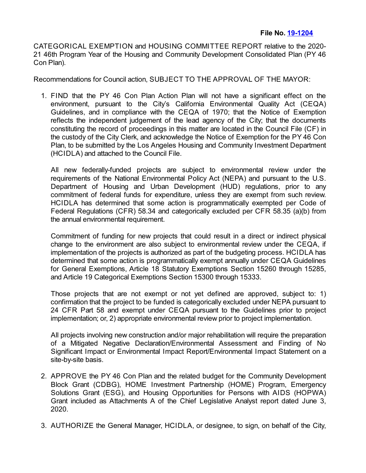CATEGORICAL EXEMPTION and HOUSING COMMITTEE REPORT relative to the 2020- 21 46th Program Year of the Housing and Community Development Consolidated Plan (PY 46 Con Plan).

Recommendations for Council action, SUBJECT TO THE APPROVAL OF THE MAYOR:

1. FIND that the PY 46 Con Plan Action Plan will not have a significant effect on the environment, pursuant to the City's California Environmental Quality Act (CEQA) Guidelines, and in compliance with the CEQA of 1970; that the Notice of Exemption reflects the independent judgement of the lead agency of the City; that the documents constituting the record of proceedings in this matter are located in the Council File (CF) in the custody of the City Clerk, and acknowledge the Notice of Exemption for the PY 46 Con Plan, to be submitted by the Los Angeles Housing and Community Investment Department (HCIDLA) and attached to the Council File.

All new federally-funded projects are subject to environmental review under the requirements of the National Environmental Policy Act (NEPA) and pursuant to the U.S. Department of Housing and Urban Development (HUD) regulations, prior to any commitment of federal funds for expenditure, unless they are exempt from such review. HCIDLA has determined that some action is programmatically exempted per Code of Federal Regulations (CFR) 58.34 and categorically excluded per CFR 58.35 (a)(b) from the annual environmental requirement.

Commitment of funding for new projects that could result in a direct or indirect physical change to the environment are also subject to environmental review under the CEQA, if implementation of the projects is authorized as part of the budgeting process. HCIDLA has determined that some action is programmatically exempt annually under CEQA Guidelines for General Exemptions, Article 18 Statutory Exemptions Section 15260 through 15285, and Article 19 Categorical Exemptions Section 15300 through 15333.

Those projects that are not exempt or not yet defined are approved, subject to: 1) confirmation that the project to be funded is categorically excluded under NEPA pursuant to 24 CFR Part 58 and exempt under CEQA pursuant to the Guidelines prior to project implementation; or, 2) appropriate environmental review prior to project implementation.

All projects involving new construction and/or major rehabilitation will require the preparation of a Mitigated Negative Declaration/Environmental Assessment and Finding of No Significant Impact or Environmental Impact Report/Environmental Impact Statement on a site-by-site basis.

- 2. APPROVE the PY 46 Con Plan and the related budget for the Community Development Block Grant (CDBG), HOME Investment Partnership (HOME) Program, Emergency Solutions Grant (ESG), and Housing Opportunities for Persons with AIDS (HOPWA) Grant included as Attachments A of the Chief Legislative Analyst report dated June 3, 2020.
- 3. AUTHORIZE the General Manager, HCIDLA, or designee, to sign, on behalf of the City,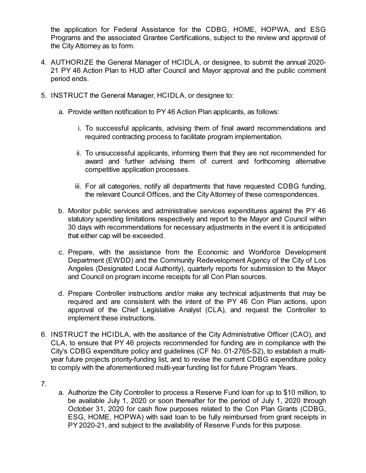the application for Federal Assistance for the CDBG, HOME, HOPWA, and ESG Programs and the associated Grantee Certifications, subject to the review and approval of the City Attorney as to form.

- 4. AUTHORIZE the General Manager of HCIDLA, or designee, to submit the annual 2020- 21 PY 46 Action Plan to HUD after Council and Mayor approval and the public comment period ends.
- 5. INSTRUCT the General Manager, HCIDLA, or designee to:
	- a. Provide written notification to PY 46 Action Plan applicants, as follows:
		- i. To successful applicants, advising them of final award recommendations and required contracting process to facilitate program implementation.
		- ii. To unsuccessful applicants, informing them that they are not recommended for award and further advising them of current and forthcoming alternative competitive application processes.
		- iii. For all categories, notify all departments that have requested CDBG funding, the relevant Council Offices, and the City Attorney of these correspondences.
	- b. Monitor public services and administrative services expenditures against the PY 46 statutory spending limitations respectively and report to the Mayor and Council within 30 days with recommendations for necessary adjustments in the event it is anticipated that either cap will be exceeded.
	- c. Prepare, with the assistance from the Economic and Workforce Development Department (EWDD) and the Community Redevelopment Agency of the City of Los Angeles (Designated Local Authority), quarterly reports for submission to the Mayor and Council on program income receipts for all Con Plan sources.
	- d. Prepare Controller instructions and/or make any technical adjustments that may be required and are consistent with the intent of the PY 46 Con Plan actions, upon approval of the Chief Legislative Analyst (CLA), and request the Controller to implement these instructions.
- 6. INSTRUCT the HCIDLA, with the assitance of the City Administrative Officer (CAO), and CLA, to ensure that PY 46 projects recommended for funding are in compliance with the City's CDBG expenditure policy and guidelines (CF No. 01-2765-S2), to establish a multiyear future projects priority-funding list, and to revise the current CDBG expenditure policy to comply with the aforementioned multi-year funding list for future Program Years.
- 7.
- a. Authorize the City Controller to process a Reserve Fund loan for up to \$10 million, to be available July 1, 2020 or soon thereafter for the period of July 1, 2020 through October 31, 2020 for cash flow purposes related to the Con Plan Grants (CDBG, ESG, HOME, HOPWA) with said loan to be fully reimbursed from grant receipts in PY 2020-21, and subject to the availability of Reserve Funds for this purpose.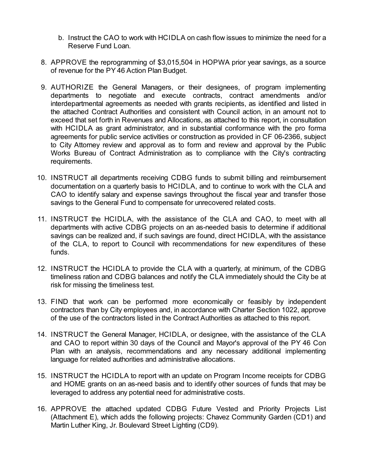- b. Instruct the CAO to work with HCIDLA on cash flow issues to minimize the need for a Reserve Fund Loan.
- 8. APPROVE the reprogramming of \$3,015,504 in HOPWA prior year savings, as a source of revenue for the PY 46 Action Plan Budget.
- 9. AUTHORIZE the General Managers, or their designees, of program implementing departments to negotiate and execute contracts, contract amendments and/or interdepartmental agreements as needed with grants recipients, as identified and listed in the attached Contract Authorities and consistent with Council action, in an amount not to exceed that set forth in Revenues and Allocations, as attached to this report, in consultation with HCIDLA as grant administrator, and in substantial conformance with the pro forma agreements for public service activities or construction as provided in CF 06-2366, subject to City Attorney review and approval as to form and review and approval by the Public Works Bureau of Contract Administration as to compliance with the City's contracting requirements.
- 10. INSTRUCT all departments receiving CDBG funds to submit billing and reimbursement documentation on a quarterly basis to HCIDLA, and to continue to work with the CLA and CAO to identify salary and expense savings throughout the fiscal year and transfer those savings to the General Fund to compensate for unrecovered related costs.
- 11. INSTRUCT the HCIDLA, with the assistance of the CLA and CAO, to meet with all departments with active CDBG projects on an as-needed basis to determine if additional savings can be realized and, if such savings are found, direct HCIDLA, with the assistance of the CLA, to report to Council with recommendations for new expenditures of these funds.
- 12. INSTRUCT the HCIDLA to provide the CLA with a quarterly, at minimum, of the CDBG timeliness ration and CDBG balances and notify the CLA immediately should the City be at risk for missing the timeliness test.
- 13. FIND that work can be performed more economically or feasibly by independent contractors than by City employees and, in accordance with Charter Section 1022, approve of the use of the contractors listed in the Contract Authorities as attached to this report.
- 14. INSTRUCT the General Manager, HCIDLA, or designee, with the assistance of the CLA and CAO to report within 30 days of the Council and Mayor's approval of the PY 46 Con Plan with an analysis, recommendations and any necessary additional implementing language for related authorities and administrative allocations.
- 15. INSTRUCT the HCIDLA to report with an update on Program Income receipts for CDBG and HOME grants on an as-need basis and to identify other sources of funds that may be leveraged to address any potential need for administrative costs.
- 16. APPROVE the attached updated CDBG Future Vested and Priority Projects List (Attachment E), which adds the following projects: Chavez Community Garden (CD1) and Martin Luther King, Jr. Boulevard Street Lighting (CD9).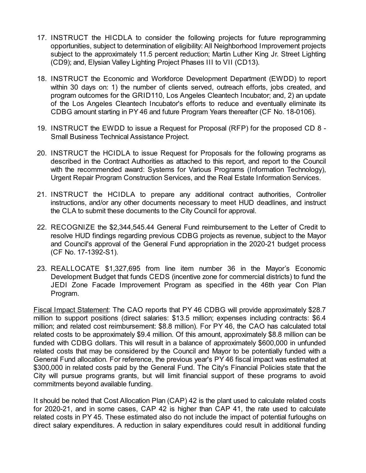- 17. INSTRUCT the HICDLA to consider the following projects for future reprogramming opportunities, subject to determination of eligibility: All Neighborhood Improvement projects subject to the approximately 11.5 percent reduction; Martin Luther King Jr. Street Lighting (CD9); and, Elysian Valley Lighting Project Phases III to VII (CD13).
- 18. INSTRUCT the Economic and Workforce Development Department (EWDD) to report within 30 days on: 1) the number of clients served, outreach efforts, jobs created, and program outcomes for the GRID110, Los Angeles Cleantech Incubator; and, 2) an update of the Los Angeles Cleantech Incubator's efforts to reduce and eventually eliminate its CDBG amount starting in PY 46 and future Program Years thereafter (CF No. 18-0106).
- 19. INSTRUCT the EWDD to issue a Request for Proposal (RFP) for the proposed CD 8 Small Business Technical Assistance Project.
- 20. INSTRUCT the HCIDLA to issue Request for Proposals for the following programs as described in the Contract Authorities as attached to this report, and report to the Council with the recommended award: Systems for Various Programs (Information Technology), Urgent Repair Program Construction Services, and the Real Estate Information Services.
- 21. INSTRUCT the HCIDLA to prepare any additional contract authorities, Controller instructions, and/or any other documents necessary to meet HUD deadlines, and instruct the CLA to submit these documents to the City Council for approval.
- 22. RECOGNIZE the \$2,344,545.44 General Fund reimbursement to the Letter of Credit to resolve HUD findings regarding previous CDBG projects as revenue, subject to the Mayor and Council's approval of the General Fund appropriation in the 2020-21 budget process (CF No. 17-1392-S1).
- 23. REALLOCATE \$1,327,695 from line item number 36 in the Mayor's Economic Development Budget that funds CEDS (incentive zone for commercial districts) to fund the JEDI Zone Facade Improvement Program as specified in the 46th year Con Plan Program.

Fiscal Impact Statement: The CAO reports that PY 46 CDBG will provide approximately \$28.7 million to support positions (direct salaries: \$13.5 million; expenses including contracts: \$6.4 million; and related cost reimbursement: \$8.8 million). For PY 46, the CAO has calculated total related costs to be approximately \$9.4 million. Of this amount, approximately \$8.8 million can be funded with CDBG dollars. This will result in a balance of approximately \$600,000 in unfunded related costs that may be considered by the Council and Mayor to be potentially funded with a General Fund allocation. For reference, the previous year's PY 46 fiscal impact was estimated at \$300,000 in related costs paid by the General Fund. The City's Financial Policies state that the City will pursue programs grants, but will limit financial support of these programs to avoid commitments beyond available funding.

It should be noted that Cost Allocation Plan (CAP) 42 is the plant used to calculate related costs for 2020-21, and in some cases, CAP 42 is higher than CAP 41, the rate used to calculate related costs in PY 45. These estimated also do not include the impact of potential furloughs on direct salary expenditures. A reduction in salary expenditures could result in additional funding